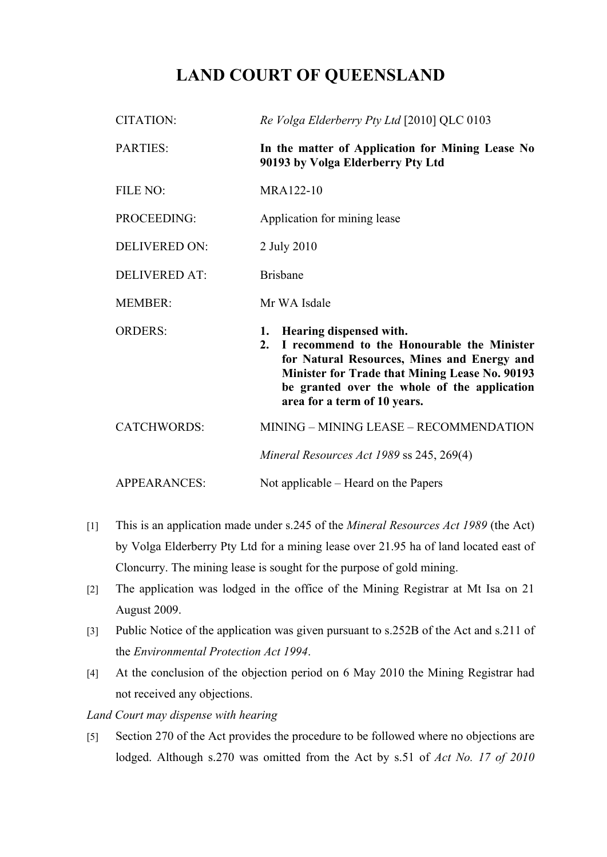## **LAND COURT OF QUEENSLAND**

| <b>CITATION:</b>     | Re Volga Elderberry Pty Ltd [2010] QLC 0103                                                                                                                                                                                                                               |
|----------------------|---------------------------------------------------------------------------------------------------------------------------------------------------------------------------------------------------------------------------------------------------------------------------|
| <b>PARTIES:</b>      | In the matter of Application for Mining Lease No<br>90193 by Volga Elderberry Pty Ltd                                                                                                                                                                                     |
| FILE NO:             | MRA122-10                                                                                                                                                                                                                                                                 |
| PROCEEDING:          | Application for mining lease                                                                                                                                                                                                                                              |
| <b>DELIVERED ON:</b> | 2 July 2010                                                                                                                                                                                                                                                               |
| <b>DELIVERED AT:</b> | <b>Brisbane</b>                                                                                                                                                                                                                                                           |
| <b>MEMBER:</b>       | Mr WA Isdale                                                                                                                                                                                                                                                              |
| <b>ORDERS:</b>       | Hearing dispensed with.<br>1.<br>I recommend to the Honourable the Minister<br>2.<br>for Natural Resources, Mines and Energy and<br><b>Minister for Trade that Mining Lease No. 90193</b><br>be granted over the whole of the application<br>area for a term of 10 years. |
| <b>CATCHWORDS:</b>   | MINING - MINING LEASE - RECOMMENDATION                                                                                                                                                                                                                                    |
|                      | Mineral Resources Act 1989 ss 245, 269(4)                                                                                                                                                                                                                                 |
| <b>APPEARANCES:</b>  | Not applicable – Heard on the Papers                                                                                                                                                                                                                                      |

- [1] This is an application made under s.245 of the *Mineral Resources Act 1989* (the Act) by Volga Elderberry Pty Ltd for a mining lease over 21.95 ha of land located east of Cloncurry. The mining lease is sought for the purpose of gold mining.
- [2] The application was lodged in the office of the Mining Registrar at Mt Isa on 21 August 2009.
- [3] Public Notice of the application was given pursuant to s.252B of the Act and s.211 of the *Environmental Protection Act 1994*.
- [4] At the conclusion of the objection period on 6 May 2010 the Mining Registrar had not received any objections.

*Land Court may dispense with hearing*

[5] Section 270 of the Act provides the procedure to be followed where no objections are lodged. Although s.270 was omitted from the Act by s.51 of *Act No. 17 of 2010*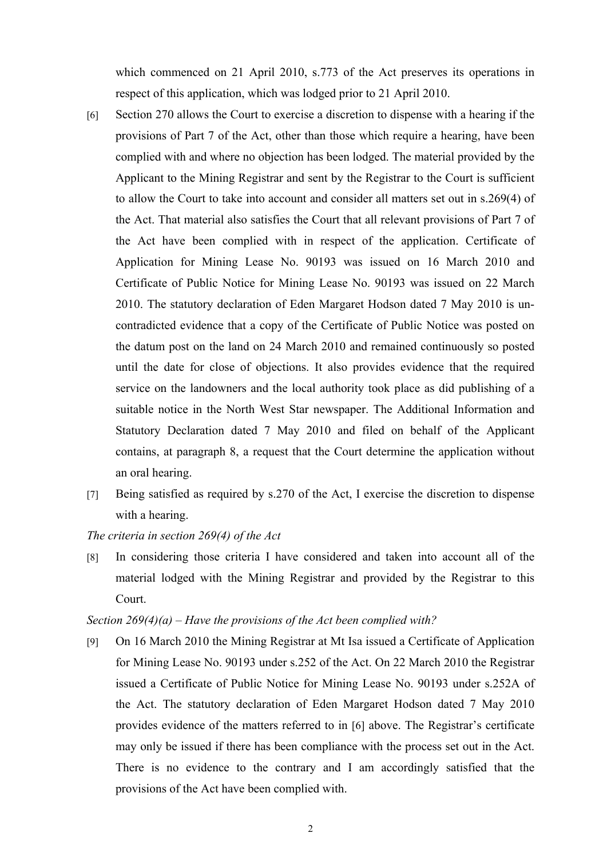which commenced on 21 April 2010, s.773 of the Act preserves its operations in respect of this application, which was lodged prior to 21 April 2010.

- [6] Section 270 allows the Court to exercise a discretion to dispense with a hearing if the provisions of Part 7 of the Act, other than those which require a hearing, have been complied with and where no objection has been lodged. The material provided by the Applicant to the Mining Registrar and sent by the Registrar to the Court is sufficient to allow the Court to take into account and consider all matters set out in s.269(4) of the Act. That material also satisfies the Court that all relevant provisions of Part 7 of the Act have been complied with in respect of the application. Certificate of Application for Mining Lease No. 90193 was issued on 16 March 2010 and Certificate of Public Notice for Mining Lease No. 90193 was issued on 22 March 2010. The statutory declaration of Eden Margaret Hodson dated 7 May 2010 is uncontradicted evidence that a copy of the Certificate of Public Notice was posted on the datum post on the land on 24 March 2010 and remained continuously so posted until the date for close of objections. It also provides evidence that the required service on the landowners and the local authority took place as did publishing of a suitable notice in the North West Star newspaper. The Additional Information and Statutory Declaration dated 7 May 2010 and filed on behalf of the Applicant contains, at paragraph 8, a request that the Court determine the application without an oral hearing.
- [7] Being satisfied as required by s.270 of the Act, I exercise the discretion to dispense with a hearing.

## *The criteria in section 269(4) of the Act*

[8] In considering those criteria I have considered and taken into account all of the material lodged with the Mining Registrar and provided by the Registrar to this Court.

## *Section 269(4)(a) – Have the provisions of the Act been complied with?*

[9] On 16 March 2010 the Mining Registrar at Mt Isa issued a Certificate of Application for Mining Lease No. 90193 under s.252 of the Act. On 22 March 2010 the Registrar issued a Certificate of Public Notice for Mining Lease No. 90193 under s.252A of the Act. The statutory declaration of Eden Margaret Hodson dated 7 May 2010 provides evidence of the matters referred to in [6] above. The Registrar's certificate may only be issued if there has been compliance with the process set out in the Act. There is no evidence to the contrary and I am accordingly satisfied that the provisions of the Act have been complied with.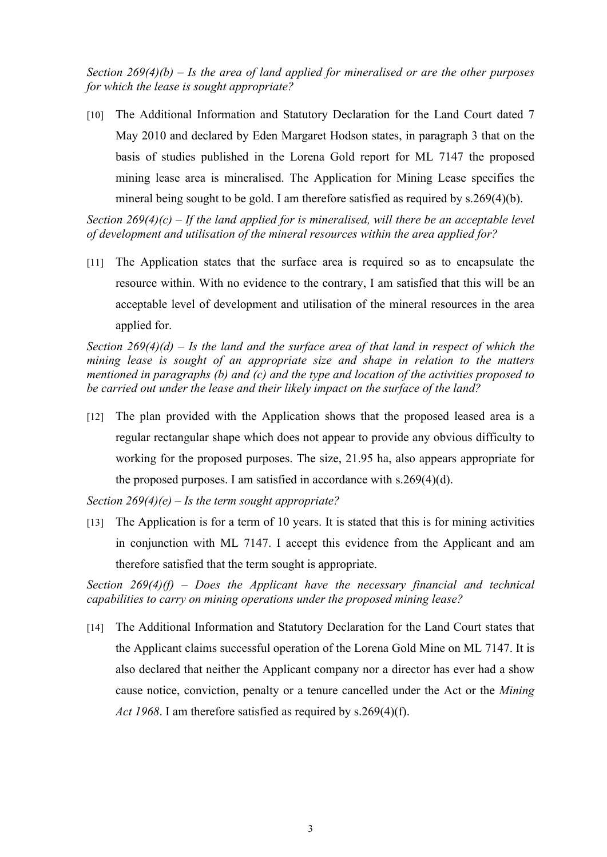*Section 269(4)(b) – Is the area of land applied for mineralised or are the other purposes for which the lease is sought appropriate?*

[10] The Additional Information and Statutory Declaration for the Land Court dated 7 May 2010 and declared by Eden Margaret Hodson states, in paragraph 3 that on the basis of studies published in the Lorena Gold report for ML 7147 the proposed mining lease area is mineralised. The Application for Mining Lease specifies the mineral being sought to be gold. I am therefore satisfied as required by s.269(4)(b).

*Section 269(4)(c) – If the land applied for is mineralised, will there be an acceptable level of development and utilisation of the mineral resources within the area applied for?*

[11] The Application states that the surface area is required so as to encapsulate the resource within. With no evidence to the contrary, I am satisfied that this will be an acceptable level of development and utilisation of the mineral resources in the area applied for.

*Section 269(4)(d) – Is the land and the surface area of that land in respect of which the mining lease is sought of an appropriate size and shape in relation to the matters mentioned in paragraphs (b) and (c) and the type and location of the activities proposed to be carried out under the lease and their likely impact on the surface of the land?*

[12] The plan provided with the Application shows that the proposed leased area is a regular rectangular shape which does not appear to provide any obvious difficulty to working for the proposed purposes. The size, 21.95 ha, also appears appropriate for the proposed purposes. I am satisfied in accordance with s.269(4)(d).

*Section 269(4)(e) – Is the term sought appropriate?*

[13] The Application is for a term of 10 years. It is stated that this is for mining activities in conjunction with ML 7147. I accept this evidence from the Applicant and am therefore satisfied that the term sought is appropriate.

*Section 269(4)(f) – Does the Applicant have the necessary financial and technical capabilities to carry on mining operations under the proposed mining lease?*

[14] The Additional Information and Statutory Declaration for the Land Court states that the Applicant claims successful operation of the Lorena Gold Mine on ML 7147. It is also declared that neither the Applicant company nor a director has ever had a show cause notice, conviction, penalty or a tenure cancelled under the Act or the *Mining Act 1968*. I am therefore satisfied as required by s.269(4)(f).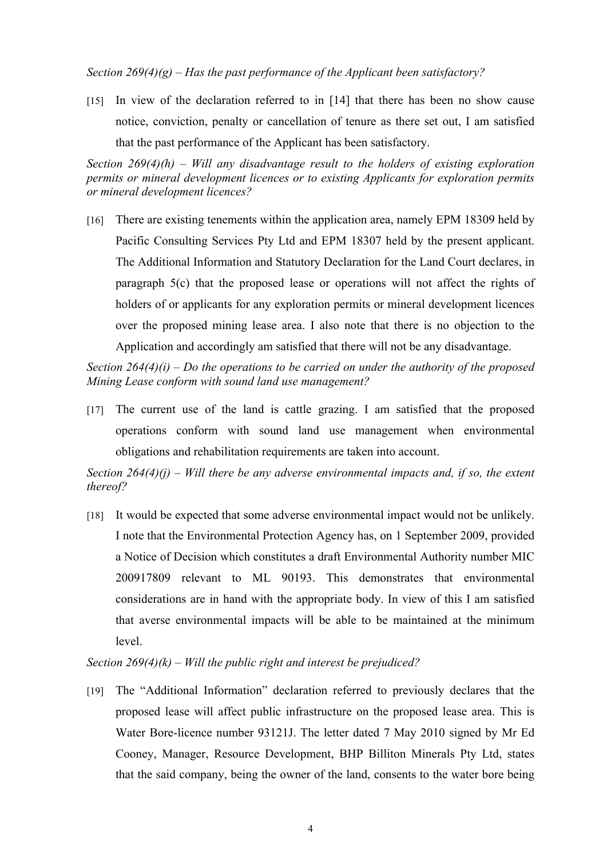*Section 269(4)(g) – Has the past performance of the Applicant been satisfactory?*

[15] In view of the declaration referred to in [14] that there has been no show cause notice, conviction, penalty or cancellation of tenure as there set out, I am satisfied that the past performance of the Applicant has been satisfactory.

*Section 269(4)(h) – Will any disadvantage result to the holders of existing exploration permits or mineral development licences or to existing Applicants for exploration permits or mineral development licences?*

[16] There are existing tenements within the application area, namely EPM 18309 held by Pacific Consulting Services Pty Ltd and EPM 18307 held by the present applicant. The Additional Information and Statutory Declaration for the Land Court declares, in paragraph 5(c) that the proposed lease or operations will not affect the rights of holders of or applicants for any exploration permits or mineral development licences over the proposed mining lease area. I also note that there is no objection to the Application and accordingly am satisfied that there will not be any disadvantage.

*Section 264(4)(i) – Do the operations to be carried on under the authority of the proposed Mining Lease conform with sound land use management?*

[17] The current use of the land is cattle grazing. I am satisfied that the proposed operations conform with sound land use management when environmental obligations and rehabilitation requirements are taken into account.

*Section 264(4)(j) – Will there be any adverse environmental impacts and, if so, the extent thereof?*

[18] It would be expected that some adverse environmental impact would not be unlikely. I note that the Environmental Protection Agency has, on 1 September 2009, provided a Notice of Decision which constitutes a draft Environmental Authority number MIC 200917809 relevant to ML 90193. This demonstrates that environmental considerations are in hand with the appropriate body. In view of this I am satisfied that averse environmental impacts will be able to be maintained at the minimum level.

*Section 269(4)(k) – Will the public right and interest be prejudiced?*

[19] The "Additional Information" declaration referred to previously declares that the proposed lease will affect public infrastructure on the proposed lease area. This is Water Bore-licence number 93121J. The letter dated 7 May 2010 signed by Mr Ed Cooney, Manager, Resource Development, BHP Billiton Minerals Pty Ltd, states that the said company, being the owner of the land, consents to the water bore being